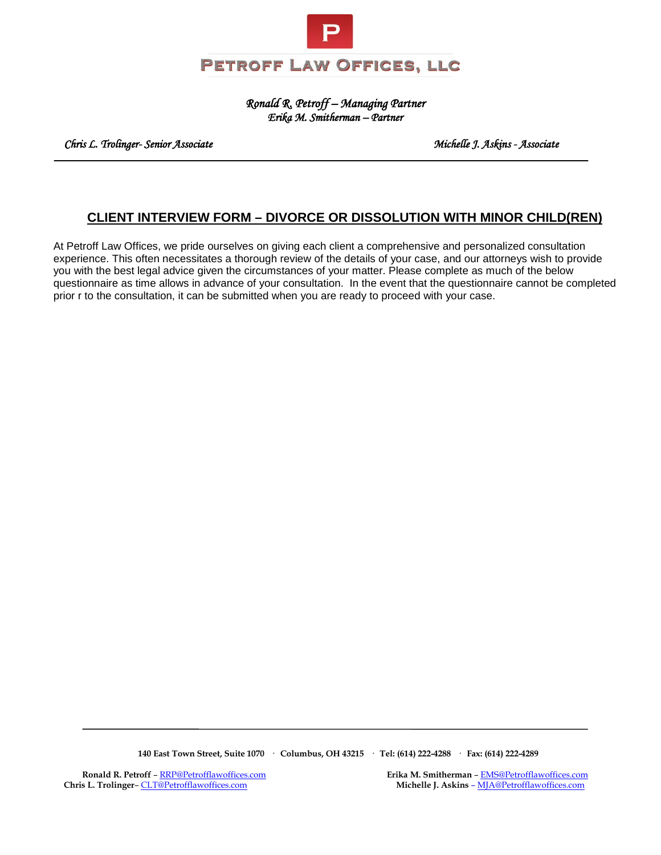

*Ronald R. Petroff – Managing Partner Erika M. Smitherman – Partner* 

 *Chris L. Trolinger- Senior Associate Michelle J. Askins - Associate* 

### **CLIENT INTERVIEW FORM – DIVORCE OR DISSOLUTION WITH MINOR CHILD(REN)**

At Petroff Law Offices, we pride ourselves on giving each client a comprehensive and personalized consultation experience. This often necessitates a thorough review of the details of your case, and our attorneys wish to provide you with the best legal advice given the circumstances of your matter. Please complete as much of the below questionnaire as time allows in advance of your consultation. In the event that the questionnaire cannot be completed prior r to the consultation, it can be submitted when you are ready to proceed with your case.

 **140 East Town Street, Suite 1070 · Columbus, OH 43215 · Tel: (614) 222-4288 · Fax: (614) 222-4289**

**Chris L. Trolinger**[– CLT@Petrofflawoffices.com](mailto:CLT@Petrofflawoffices.com) **Michelle J. Askins** [– MJA@Petrofflawoffices.com](mailto:%E2%80%93%20MJA@Petrofflawoffices.com) 

**Ronald R. Petroff** [– RRP@Petrofflawoffices.com](mailto:RRP@Petrofflawoffices.com) **Erika M. Smitherman** [– EMS@Petrofflawoffices.com](mailto:%E2%80%93%20EMS@Petrofflawoffices.com)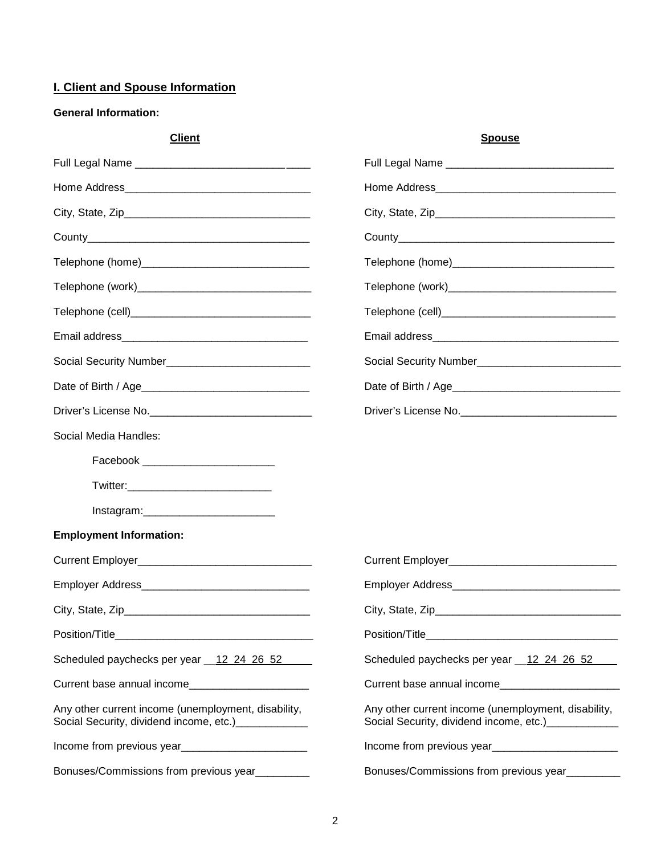# **I. Client and Spouse Information**

#### **General Information:**

| <b>Client</b>                                                                                        | <b>Spouse</b>                                                                                                                                                                                                                          |
|------------------------------------------------------------------------------------------------------|----------------------------------------------------------------------------------------------------------------------------------------------------------------------------------------------------------------------------------------|
|                                                                                                      |                                                                                                                                                                                                                                        |
|                                                                                                      |                                                                                                                                                                                                                                        |
|                                                                                                      |                                                                                                                                                                                                                                        |
|                                                                                                      |                                                                                                                                                                                                                                        |
|                                                                                                      |                                                                                                                                                                                                                                        |
|                                                                                                      |                                                                                                                                                                                                                                        |
|                                                                                                      |                                                                                                                                                                                                                                        |
|                                                                                                      |                                                                                                                                                                                                                                        |
|                                                                                                      |                                                                                                                                                                                                                                        |
|                                                                                                      |                                                                                                                                                                                                                                        |
|                                                                                                      |                                                                                                                                                                                                                                        |
| Social Media Handles:                                                                                |                                                                                                                                                                                                                                        |
|                                                                                                      |                                                                                                                                                                                                                                        |
|                                                                                                      |                                                                                                                                                                                                                                        |
|                                                                                                      |                                                                                                                                                                                                                                        |
| <b>Employment Information:</b>                                                                       |                                                                                                                                                                                                                                        |
|                                                                                                      |                                                                                                                                                                                                                                        |
|                                                                                                      |                                                                                                                                                                                                                                        |
| City, State, Zip_                                                                                    | City, State, Zip                                                                                                                                                                                                                       |
|                                                                                                      |                                                                                                                                                                                                                                        |
| Scheduled paychecks per year 12 24 26 52                                                             | Scheduled paychecks per year 12 24 26 52                                                                                                                                                                                               |
| Current base annual income                                                                           | Current base annual income                                                                                                                                                                                                             |
| Any other current income (unemployment, disability,<br>Social Security, dividend income, etc.) [100] | Any other current income (unemployment, disability,<br>Social Security, dividend income, etc.) _____________                                                                                                                           |
|                                                                                                      | Income from previous year<br><u>[</u> [11] The same stream and stream and stream and stream and stream and stream and stream and stream and stream and stream and stream and stream and stream and stream and stream and stream and st |
| Bonuses/Commissions from previous year_________                                                      | Bonuses/Commissions from previous year_________                                                                                                                                                                                        |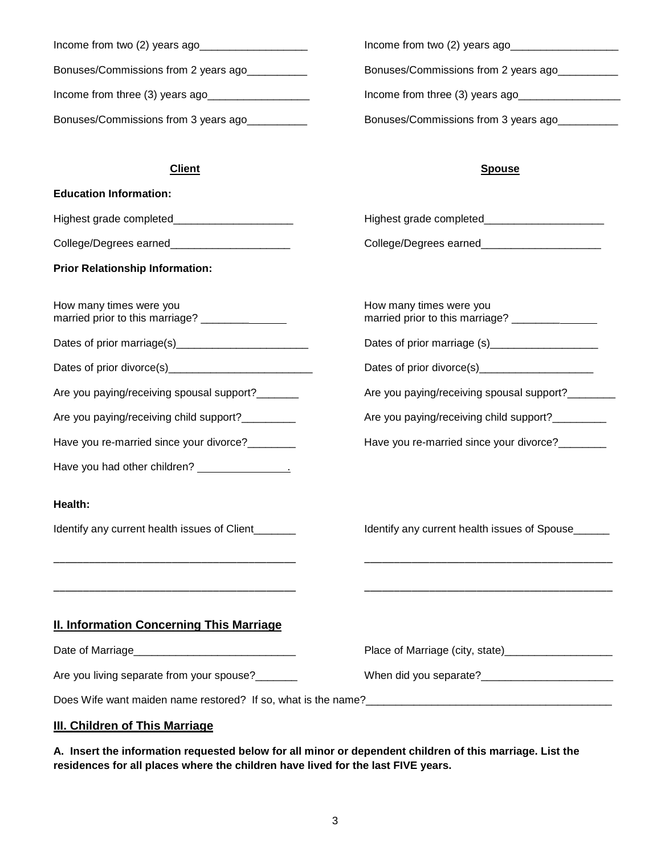| Income from two (2) years ago        | Income from two $(2)$ years ago      |
|--------------------------------------|--------------------------------------|
| Bonuses/Commissions from 2 years ago | Bonuses/Commissions from 2 years ago |
| Income from three (3) years ago      | Income from three (3) years ago      |
| Bonuses/Commissions from 3 years ago | Bonuses/Commissions from 3 years ago |

#### **Client Spouse**

| <b>Education Information:</b>                                                                                         |                                                                                                                       |
|-----------------------------------------------------------------------------------------------------------------------|-----------------------------------------------------------------------------------------------------------------------|
| Highest grade completed_________________________                                                                      |                                                                                                                       |
| College/Degrees earned_______________________                                                                         | College/Degrees earned_________________________                                                                       |
| <b>Prior Relationship Information:</b>                                                                                |                                                                                                                       |
| How many times were you                                                                                               | How many times were you<br>married prior to this marriage? _______________                                            |
|                                                                                                                       | Dates of prior marriage (s)___________________                                                                        |
|                                                                                                                       |                                                                                                                       |
| Are you paying/receiving spousal support?_______                                                                      | Are you paying/receiving spousal support?_______                                                                      |
| Are you paying/receiving child support?_________                                                                      | Are you paying/receiving child support?_________                                                                      |
| Have you re-married since your divorce?________                                                                       | Have you re-married since your divorce?________                                                                       |
|                                                                                                                       |                                                                                                                       |
| Health:                                                                                                               |                                                                                                                       |
| Identify any current health issues of Client______                                                                    | Identify any current health issues of Spouse_____                                                                     |
| <u> 1989 - Johann John Stoff, deutscher Stoffen und der Stoffen und der Stoffen und der Stoffen und der Stoffen u</u> | <u> 1989 - Johann John Stoff, deutscher Stoffen und der Stoffen und der Stoffen und der Stoffen und der Stoffen u</u> |
|                                                                                                                       |                                                                                                                       |
|                                                                                                                       |                                                                                                                       |
| <b>II. Information Concerning This Marriage</b>                                                                       |                                                                                                                       |
|                                                                                                                       |                                                                                                                       |
| Are you living separate from your spouse?                                                                             |                                                                                                                       |
|                                                                                                                       |                                                                                                                       |
| III. Children of This Marriage                                                                                        |                                                                                                                       |

**A. Insert the information requested below for all minor or dependent children of this marriage. List the residences for all places where the children have lived for the last FIVE years.**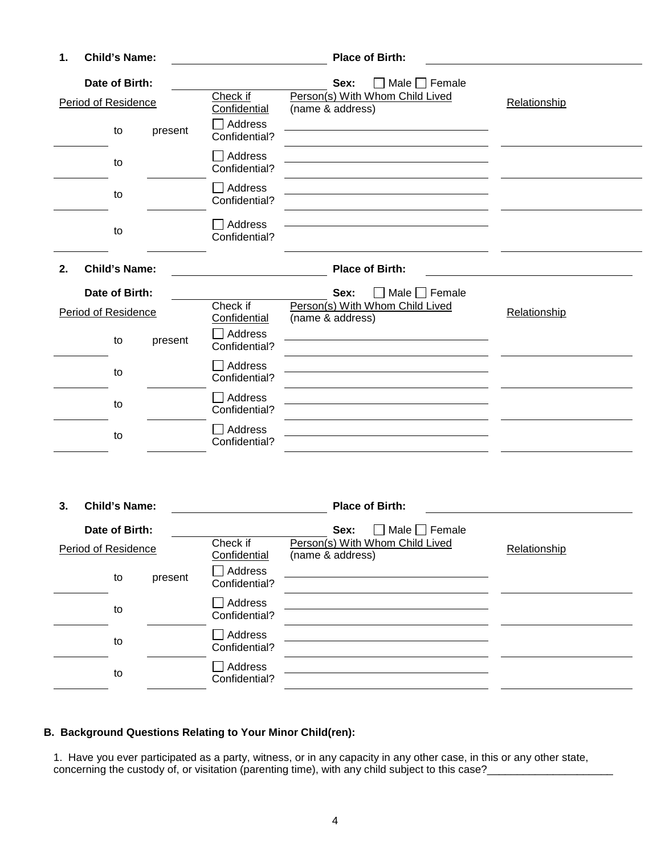| 1. | <b>Child's Name:</b> |         |                                 | <b>Place of Birth:</b>                              |              |
|----|----------------------|---------|---------------------------------|-----------------------------------------------------|--------------|
|    | Date of Birth:       |         |                                 | Male $\Box$ Female<br>Sex:<br>$\Box$                |              |
|    | Period of Residence  |         | Check if<br>Confidential        | Person(s) With Whom Child Lived<br>(name & address) | Relationship |
|    | to                   | present | Address<br>Confidential?        |                                                     |              |
|    | to                   |         | Address<br>Confidential?        |                                                     |              |
|    | to                   |         | $\Box$ Address<br>Confidential? |                                                     |              |
|    | to                   |         | Address<br>Confidential?        |                                                     |              |
| 2. | <b>Child's Name:</b> |         |                                 | <b>Place of Birth:</b>                              |              |
|    | Date of Birth:       |         |                                 | $\Box$ Male $\Box$ Female<br>Sex:                   |              |
|    | Period of Residence  |         | Check if<br>Confidential        | Person(s) With Whom Child Lived<br>(name & address) | Relationship |
|    | to                   | present | Address<br>Confidential?        |                                                     |              |
|    | to                   |         | Address<br>Confidential?        |                                                     |              |
|    |                      |         |                                 |                                                     |              |
|    | to                   |         | Address<br>Confidential?        |                                                     |              |

| <b>Child's Name:</b><br>3. |         |                                 | <b>Place of Birth:</b>                              |              |
|----------------------------|---------|---------------------------------|-----------------------------------------------------|--------------|
| Date of Birth:             |         |                                 | Male $\Box$ Female<br>Sex:                          |              |
| Period of Residence        |         | Check if<br>Confidential        | Person(s) With Whom Child Lived<br>(name & address) | Relationship |
| to                         | present | Address<br>Confidential?        |                                                     |              |
| to                         |         | Address<br>Confidential?        |                                                     |              |
| to                         |         | Address<br>Confidential?        |                                                     |              |
| to                         |         | <b>Address</b><br>Confidential? |                                                     |              |

# **B. Background Questions Relating to Your Minor Child(ren):**

1. Have you ever participated as a party, witness, or in any capacity in any other case, in this or any other state, concerning the custody of, or visitation (parenting time), with any child subject to this case?\_\_\_\_\_\_\_\_\_\_\_\_\_\_\_\_\_\_\_\_\_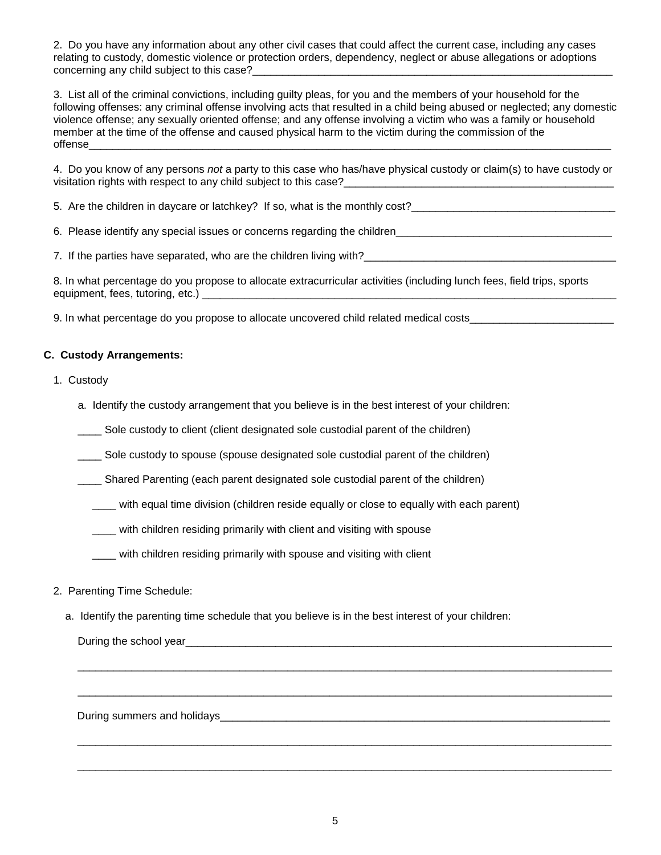2. Do you have any information about any other civil cases that could affect the current case, including any cases relating to custody, domestic violence or protection orders, dependency, neglect or abuse allegations or adoptions concerning any child subject to this case?\_\_

3. List all of the criminal convictions, including guilty pleas, for you and the members of your household for the following offenses: any criminal offense involving acts that resulted in a child being abused or neglected; any domestic violence offense; any sexually oriented offense; and any offense involving a victim who was a family or household member at the time of the offense and caused physical harm to the victim during the commission of the offense\_\_\_\_\_\_\_\_\_\_\_\_\_\_\_\_\_\_\_\_\_\_\_\_\_\_\_\_\_\_\_\_\_\_\_\_\_\_\_\_\_\_\_\_\_\_\_\_\_\_\_\_\_\_\_\_\_\_\_\_\_\_\_\_\_\_\_\_\_\_\_\_\_\_\_\_\_\_\_\_\_\_\_\_\_\_\_

4. Do you know of any persons *not* a party to this case who has/have physical custody or claim(s) to have custody or visitation rights with respect to any child subject to this case?

5. Are the children in daycare or latchkey? If so, what is the monthly cost?\_\_\_\_\_\_\_\_\_\_\_\_\_\_\_\_\_\_\_\_\_\_\_\_\_\_\_\_\_\_\_\_\_\_

6. Please identify any special issues or concerns regarding the children\_\_\_\_\_\_\_\_\_\_\_\_\_\_\_\_\_\_\_\_\_\_\_\_\_\_\_\_\_\_\_\_\_\_\_\_

7. If the parties have separated, who are the children living with?

8. In what percentage do you propose to allocate extracurricular activities (including lunch fees, field trips, sports equipment, fees, tutoring, etc.)

9. In what percentage do you propose to allocate uncovered child related medical costs\_\_\_\_\_\_\_\_\_\_\_\_\_\_

#### **C. Custody Arrangements:**

- 1. Custody
	- a. Identify the custody arrangement that you believe is in the best interest of your children:
	- \_\_\_\_ Sole custody to client (client designated sole custodial parent of the children)

Sole custody to spouse (spouse designated sole custodial parent of the children)

\_\_\_\_ Shared Parenting (each parent designated sole custodial parent of the children)

\_\_\_\_ with equal time division (children reside equally or close to equally with each parent)

with children residing primarily with client and visiting with spouse

with children residing primarily with spouse and visiting with client

- 2. Parenting Time Schedule:
	- a. Identify the parenting time schedule that you believe is in the best interest of your children:

During the school year **comes and the school** state of the state of the state of the state of the state of the state of the state of the state of the state of the state of the state of the state of the state of the state o

During summers and holidays **Example 20** and  $\overline{a}$  and  $\overline{b}$  and  $\overline{c}$  and  $\overline{c}$  and  $\overline{c}$  and  $\overline{a}$  and  $\overline{b}$  and  $\overline{c}$  and  $\overline{c}$  and  $\overline{c}$  and  $\overline{c}$  and  $\overline{c}$  and  $\overline{c}$  and  $\overline{c}$ 

 $\mathcal{L}_\mathcal{L} = \{ \mathcal{L}_\mathcal{L} = \{ \mathcal{L}_\mathcal{L} = \{ \mathcal{L}_\mathcal{L} = \{ \mathcal{L}_\mathcal{L} = \{ \mathcal{L}_\mathcal{L} = \{ \mathcal{L}_\mathcal{L} = \{ \mathcal{L}_\mathcal{L} = \{ \mathcal{L}_\mathcal{L} = \{ \mathcal{L}_\mathcal{L} = \{ \mathcal{L}_\mathcal{L} = \{ \mathcal{L}_\mathcal{L} = \{ \mathcal{L}_\mathcal{L} = \{ \mathcal{L}_\mathcal{L} = \{ \mathcal{L}_\mathcal{$ 

 $\mathcal{L}_\mathcal{L} = \{ \mathcal{L}_\mathcal{L} = \{ \mathcal{L}_\mathcal{L} = \{ \mathcal{L}_\mathcal{L} = \{ \mathcal{L}_\mathcal{L} = \{ \mathcal{L}_\mathcal{L} = \{ \mathcal{L}_\mathcal{L} = \{ \mathcal{L}_\mathcal{L} = \{ \mathcal{L}_\mathcal{L} = \{ \mathcal{L}_\mathcal{L} = \{ \mathcal{L}_\mathcal{L} = \{ \mathcal{L}_\mathcal{L} = \{ \mathcal{L}_\mathcal{L} = \{ \mathcal{L}_\mathcal{L} = \{ \mathcal{L}_\mathcal{$ 

\_\_\_\_\_\_\_\_\_\_\_\_\_\_\_\_\_\_\_\_\_\_\_\_\_\_\_\_\_\_\_\_\_\_\_\_\_\_\_\_\_\_\_\_\_\_\_\_\_\_\_\_\_\_\_\_\_\_\_\_\_\_\_\_\_\_\_\_\_\_\_\_\_\_\_\_\_\_\_\_\_\_\_\_\_\_\_\_\_

\_\_\_\_\_\_\_\_\_\_\_\_\_\_\_\_\_\_\_\_\_\_\_\_\_\_\_\_\_\_\_\_\_\_\_\_\_\_\_\_\_\_\_\_\_\_\_\_\_\_\_\_\_\_\_\_\_\_\_\_\_\_\_\_\_\_\_\_\_\_\_\_\_\_\_\_\_\_\_\_\_\_\_\_\_\_\_\_\_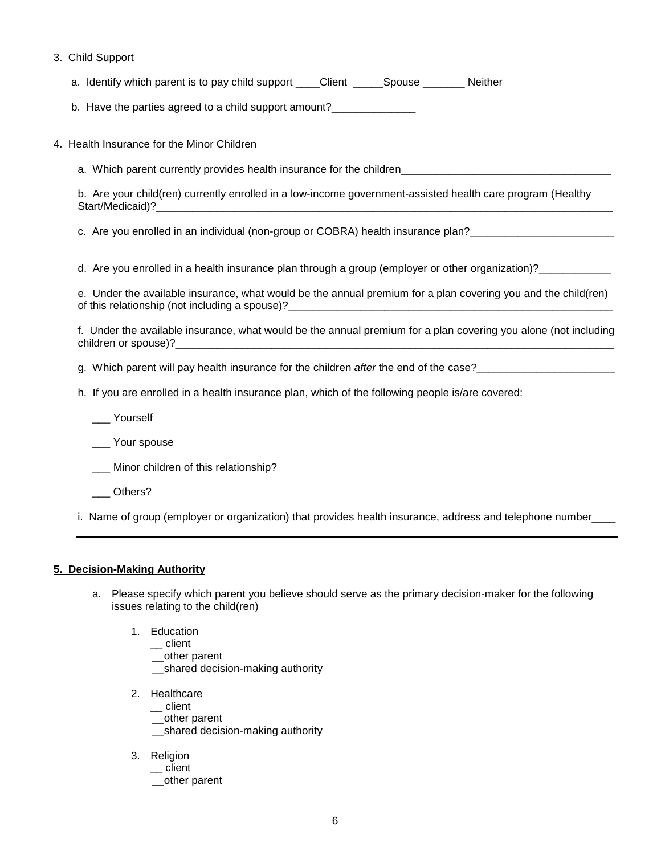3. Child Support

a. Identify which parent is to pay child support \_\_\_\_\_Client \_\_\_\_\_\_\_Spouse \_\_\_\_\_\_\_\_ Neither

b. Have the parties agreed to a child support amount?\_\_\_\_\_\_\_\_\_\_\_\_\_\_\_\_\_\_\_\_\_\_\_\_\_\_\_

4. Health Insurance for the Minor Children

a. Which parent currently provides health insurance for the children

b. Are your child(ren) currently enrolled in a low-income government-assisted health care program (Healthy Start/Medicaid)?\_

c. Are you enrolled in an individual (non-group or COBRA) health insurance plan?<br>

d. Are you enrolled in a health insurance plan through a group (employer or other organization)?

e. Under the available insurance, what would be the annual premium for a plan covering you and the child(ren) of this relationship (not including a spouse)?\_\_\_\_\_\_\_\_\_\_\_\_\_\_\_\_\_\_\_\_\_\_\_\_\_\_\_\_\_\_\_\_\_\_

f. Under the available insurance, what would be the annual premium for a plan covering you alone (not including children or spouse)?

g. Which parent will pay health insurance for the children *after* the end of the case?\_\_\_\_\_\_\_\_\_\_\_\_\_\_\_\_\_\_\_\_\_\_\_

- h. If you are enrolled in a health insurance plan, which of the following people is/are covered:
	- \_\_\_ Yourself

Your spouse

\_\_\_ Minor children of this relationship?

\_\_\_ Others?

i. Name of group (employer or organization) that provides health insurance, address and telephone number\_\_\_\_

#### **5. Decision-Making Authority**

- a. Please specify which parent you believe should serve as the primary decision-maker for the following issues relating to the child(ren)
	- 1. Education
		- \_\_ client
		- \_\_other parent
		- shared decision-making authority
	- 2. Healthcare
		- $\equiv$  client
		- \_\_other parent
		- \_\_shared decision-making authority
	- 3. Religion
		- \_\_ client
		- \_\_other parent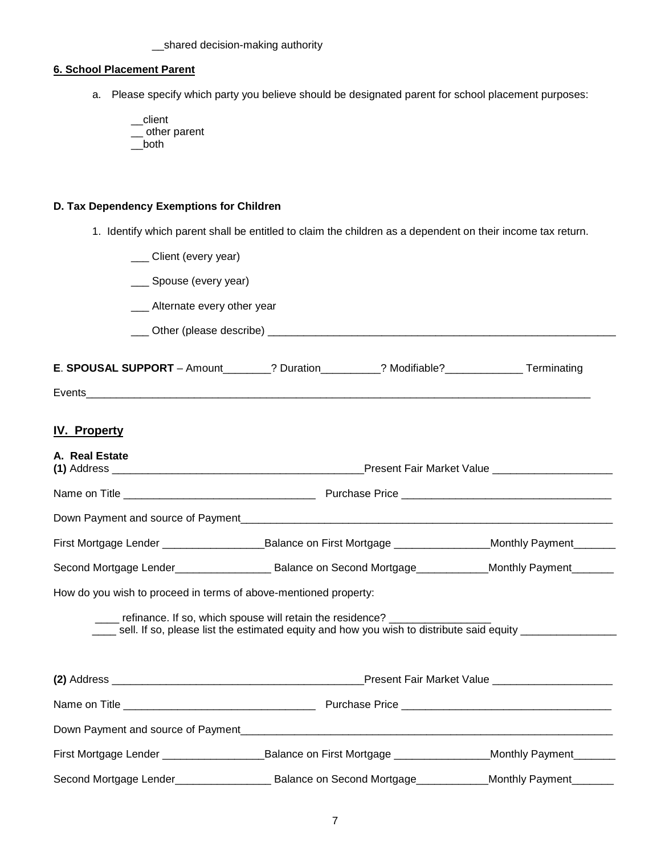\_\_shared decision-making authority

#### **6. School Placement Parent**

a. Please specify which party you believe should be designated parent for school placement purposes:

\_\_client \_\_ other parent \_\_both

#### **D. Tax Dependency Exemptions for Children**

1. Identify which parent shall be entitled to claim the children as a dependent on their income tax return.

| Client (every year)                                              |                                                                                                                                                                                                                                |                        |
|------------------------------------------------------------------|--------------------------------------------------------------------------------------------------------------------------------------------------------------------------------------------------------------------------------|------------------------|
| __ Spouse (every year)                                           |                                                                                                                                                                                                                                |                        |
| __ Alternate every other year                                    |                                                                                                                                                                                                                                |                        |
|                                                                  |                                                                                                                                                                                                                                |                        |
|                                                                  |                                                                                                                                                                                                                                |                        |
|                                                                  | E. SPOUSAL SUPPORT - Amount________? Duration__________? Modifiable?_____________Terminating                                                                                                                                   |                        |
|                                                                  |                                                                                                                                                                                                                                |                        |
| <b>IV. Property</b>                                              |                                                                                                                                                                                                                                |                        |
|                                                                  |                                                                                                                                                                                                                                |                        |
| A. Real Estate                                                   |                                                                                                                                                                                                                                |                        |
|                                                                  |                                                                                                                                                                                                                                |                        |
|                                                                  |                                                                                                                                                                                                                                |                        |
|                                                                  | First Mortgage Lender _________________________Balance on First Mortgage ____________________Monthly Payment________                                                                                                           |                        |
|                                                                  |                                                                                                                                                                                                                                |                        |
| How do you wish to proceed in terms of above-mentioned property: |                                                                                                                                                                                                                                |                        |
|                                                                  | ____ refinance. If so, which spouse will retain the residence? _________________<br>sell. If so, please list the estimated equity and how you wish to distribute said equity ________________                                  |                        |
|                                                                  |                                                                                                                                                                                                                                |                        |
|                                                                  |                                                                                                                                                                                                                                |                        |
|                                                                  |                                                                                                                                                                                                                                |                        |
|                                                                  | Down Payment and source of Payment enterties and the control of the control of the control of the control of the control of the control of the control of the control of the control of the control of the control of the cont |                        |
|                                                                  | First Mortgage Lender __________________________________Balance on First Mortgage ______________________Monthly Payment________                                                                                                |                        |
|                                                                  | Second Mortgage Lender____________________ Balance on Second Mortgage___________                                                                                                                                               | Monthly Payment_______ |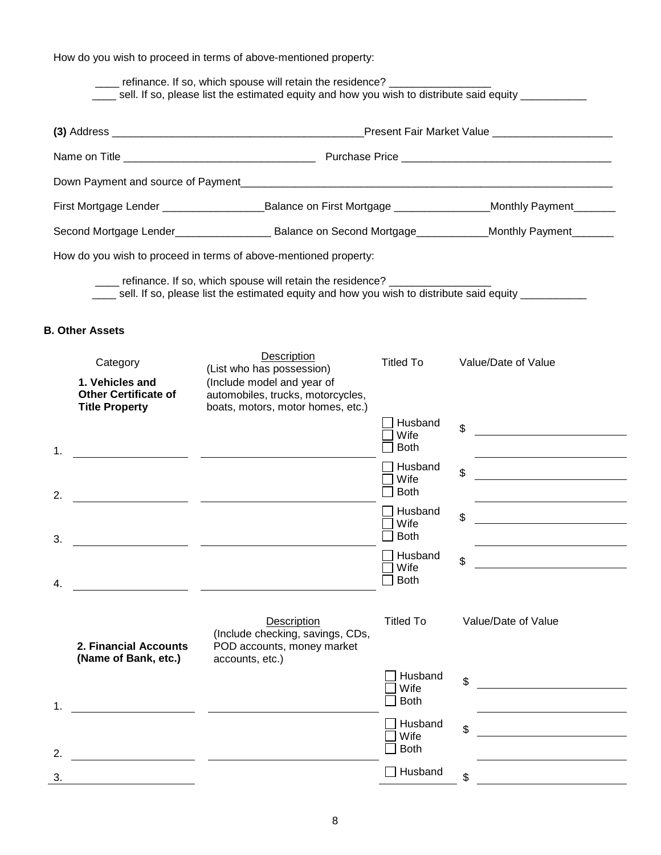How do you wish to proceed in terms of above-mentioned property:

<u> 1990 - Johann Barbara, martin amerikan basar da</u>

4.

refinance. If so, which spouse will retain the residence? \_\_\_\_ sell. If so, please list the estimated equity and how you wish to distribute said equity \_\_\_\_\_\_\_\_\_\_\_ **(3)** Address \_\_\_\_\_\_\_\_\_\_\_\_\_\_\_\_\_\_\_\_\_\_\_\_\_\_\_\_\_\_\_\_\_\_\_\_\_\_\_\_\_\_Present Fair Market Value \_\_\_\_\_\_\_\_\_\_\_\_\_\_\_\_\_\_\_\_ Name on Title **Name on Title 2008** Name on Title 2008 and 2012 and 2013 and 2014 and 2014 and 2016 and 2017 and 201 Down Payment and source of Payment First Mortgage Lender \_\_\_\_\_\_\_\_\_\_\_\_\_\_\_\_\_\_\_\_\_\_\_\_\_\_Balance on First Mortgage \_\_\_\_\_\_\_\_\_\_\_\_\_\_\_\_\_\_\_\_Monthly Payment\_\_\_\_\_\_\_ Second Mortgage Lender\_\_\_\_\_\_\_\_\_\_\_\_\_\_\_\_\_\_\_\_\_ Balance on Second Mortgage\_\_\_\_\_\_\_\_\_\_\_\_\_Monthly Payment\_\_\_\_\_\_\_\_ How do you wish to proceed in terms of above-mentioned property: \_\_\_\_ refinance. If so, which spouse will retain the residence? \_\_\_\_\_\_\_\_\_\_\_\_\_\_\_\_\_ sell. If so, please list the estimated equity and how you wish to distribute said equity **B. Other Assets**  Category Description<br>
(List who has possession) Titled To Value/Date of Value) **1. Vehicles and**  (Include model and year of **Other Certificate of**  automobiles, trucks, motorcycles, **Title Property** boats, motors, motor homes, etc.) □ Husband \$ Wife  $\Box$  Both 1.  $\Box$  Husband <u> Albanya di Barat di Barat di Barat di Barat di Barat di Barat di Barat di Barat di Barat di Barat di Barat d</u> \$ Wife  $\Box$  Both 2.  $\Box$  Husband <u> 1989 - Johann Stoff, fransk politik (</u> \$ Wife  $\overline{\Box}$  Both 3. <u> 1989 - Andrea Start, fransk politik (d. 1989)</u>  $\Box$  Husband \$ <u> 1989 - Johann Stein, fransk politik (</u>  $\Box$  Wife

|    | 2. Financial Accounts<br>(Name of Bank, etc.) | Description<br>(Include checking, savings, CDs,<br>POD accounts, money market<br>accounts, etc.) | Titled To                      | Value/Date of Value |
|----|-----------------------------------------------|--------------------------------------------------------------------------------------------------|--------------------------------|---------------------|
| 1. |                                               |                                                                                                  | Husband<br>Wife<br><b>Both</b> | \$                  |
| 2. |                                               |                                                                                                  | Husband<br>Wife<br><b>Both</b> | \$                  |
| 3. |                                               |                                                                                                  | Husband                        | \$                  |

 $\Box$  Both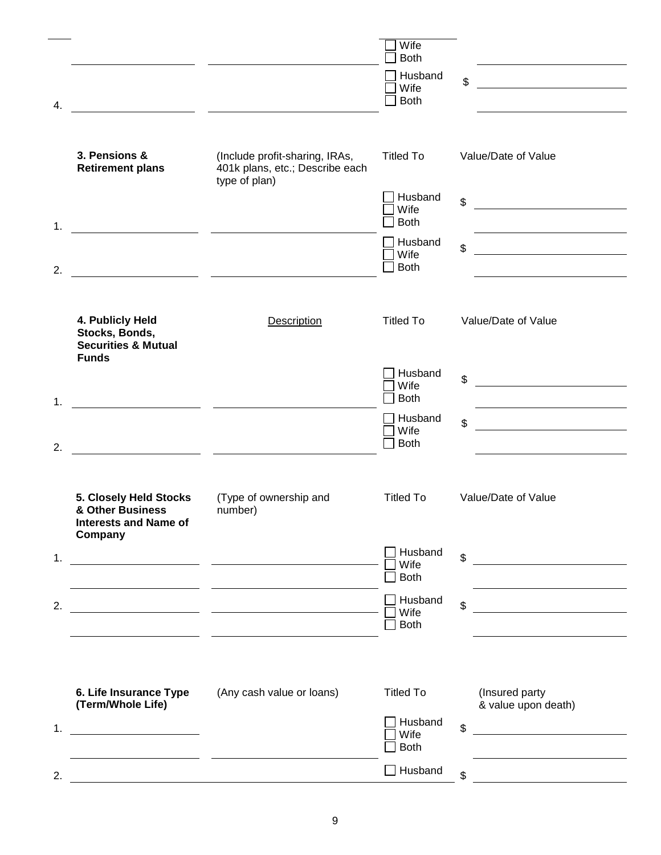| 4. |                                                                                                                     | <u> 1980 - Jan James James Barbara, president de la propincia de la propincia de la propincia de la propincia de</u>   | Wife<br><b>Both</b><br>Husband<br>Wife<br><b>Both</b> | \$                                                                                                                          |
|----|---------------------------------------------------------------------------------------------------------------------|------------------------------------------------------------------------------------------------------------------------|-------------------------------------------------------|-----------------------------------------------------------------------------------------------------------------------------|
|    | 3. Pensions &<br><b>Retirement plans</b>                                                                            | (Include profit-sharing, IRAs,<br>401k plans, etc.; Describe each<br>type of plan)                                     | <b>Titled To</b>                                      | Value/Date of Value                                                                                                         |
| 1. |                                                                                                                     |                                                                                                                        | Husband<br>Wife<br><b>Both</b>                        | \$<br><u> 1980 - Jan Samuel Barbara, poeta establecea en la provincia de la provincia de la provincia de la provincia d</u> |
| 2. |                                                                                                                     |                                                                                                                        | Husband<br>Wife<br><b>Both</b>                        | \$<br><u> 1989 - Jan Barat, martin a</u>                                                                                    |
|    | 4. Publicly Held<br>Stocks, Bonds,<br><b>Securities &amp; Mutual</b><br><b>Funds</b>                                | Description                                                                                                            | <b>Titled To</b>                                      | Value/Date of Value                                                                                                         |
| 1. | <u> 1980 - Jan James James, politik eta politik eta politik eta politik eta politik eta politik eta politik eta</u> |                                                                                                                        | Husband<br>Wife<br><b>Both</b>                        | \$<br><u> 1989 - Jan Barbara Barat, prima popula</u>                                                                        |
| 2. |                                                                                                                     | <u> 1989 - Johann John Stone, mars et al. 1989 - John Stone, mars et al. 1989 - John Stone, mars et al. 1989 - Joh</u> | Husband<br>Wife<br><b>Both</b>                        | \$                                                                                                                          |
|    | 5. Closely Held Stocks<br>& Other Business<br><b>Interests and Name of</b><br>Company                               | (Type of ownership and<br>number)                                                                                      | <b>Titled To</b>                                      | Value/Date of Value                                                                                                         |
| 1. |                                                                                                                     |                                                                                                                        | Husband<br>Wife<br><b>Both</b>                        | \$                                                                                                                          |
| 2. | <u>and the second second</u>                                                                                        | <u> 1989 - Johann Harry Barn, mars an t-Amerikaansk kommunister (</u>                                                  | Husband<br>Wife<br><b>Both</b>                        | \$<br>the control of the control of the control of the                                                                      |
| 1. | 6. Life Insurance Type<br>(Term/Whole Life)                                                                         | (Any cash value or loans)                                                                                              | <b>Titled To</b><br>Husband<br>Wife                   | (Insured party<br>& value upon death)<br>$\mathfrak{S}$<br>the company of the company of the company of                     |
| 2. |                                                                                                                     |                                                                                                                        | <b>Both</b><br>$\Box$ Husband                         | \$                                                                                                                          |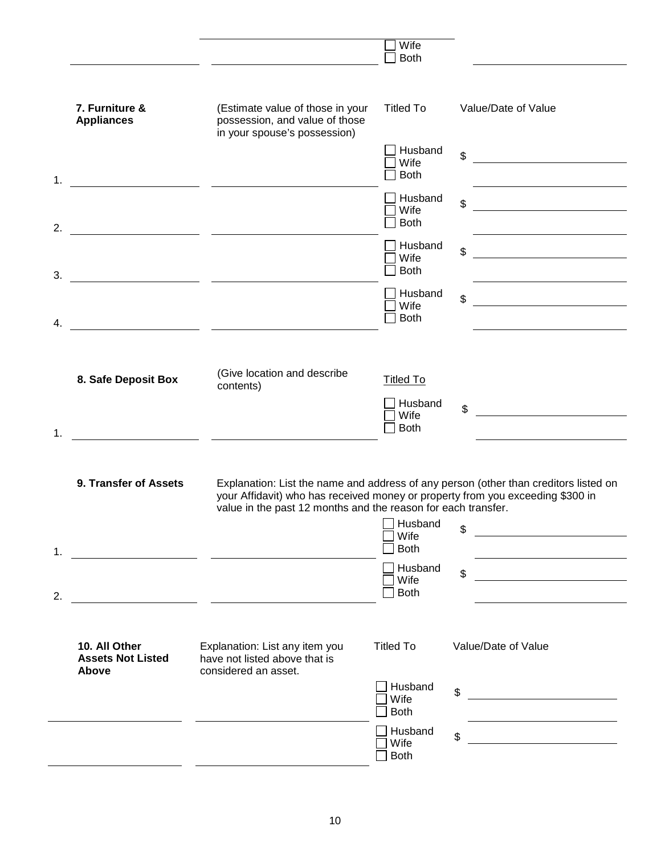|    |                                                           |                                                                                                                                                 | Wife<br><b>Both</b>                                |                                                                                                                                                                                                                                            |
|----|-----------------------------------------------------------|-------------------------------------------------------------------------------------------------------------------------------------------------|----------------------------------------------------|--------------------------------------------------------------------------------------------------------------------------------------------------------------------------------------------------------------------------------------------|
|    | 7. Furniture &<br><b>Appliances</b>                       | (Estimate value of those in your<br>possession, and value of those<br>in your spouse's possession)                                              | <b>Titled To</b>                                   | Value/Date of Value                                                                                                                                                                                                                        |
| 1. |                                                           |                                                                                                                                                 | Husband<br>Wife<br><b>Both</b>                     | \$                                                                                                                                                                                                                                         |
| 2. |                                                           |                                                                                                                                                 | Husband<br>Wife<br><b>Both</b>                     | \$<br><u> 1989 - Jan Stein Stein Stein Stein Stein Stein Stein Stein Stein Stein Stein Stein Stein Stein Stein Stein S</u>                                                                                                                 |
| 3. |                                                           |                                                                                                                                                 | Husband<br>Wife<br><b>Both</b>                     | \$<br><u> 1980 - Andrea Station Barbara, politik eta provincia eta provincia eta provincia eta provincia eta provincia</u>                                                                                                                 |
| 4. |                                                           | <u> 1989 - Jan James James, politik eta politik eta politik eta politik eta politik eta politik eta politik eta</u>                             | Husband<br>Wife<br><b>Both</b>                     | \$<br><u>and the company of the company of the company of the company of the company of the company of the company of the company of the company of the company of the company of the company of the company of the company of the com</u> |
| 1. | 8. Safe Deposit Box                                       | (Give location and describe<br>contents)                                                                                                        | <b>Titled To</b><br>Husband<br>Wife<br><b>Both</b> | \$                                                                                                                                                                                                                                         |
|    | 9. Transfer of Assets                                     | your Affidavit) who has received money or property from you exceeding \$300 in<br>value in the past 12 months and the reason for each transfer. | Husband                                            | Explanation: List the name and address of any person (other than creditors listed on                                                                                                                                                       |
| 1. |                                                           |                                                                                                                                                 | Wife<br><b>Both</b>                                | \$                                                                                                                                                                                                                                         |
| 2. |                                                           |                                                                                                                                                 | Husband<br>Wife<br><b>Both</b>                     | \$                                                                                                                                                                                                                                         |
|    | 10. All Other<br><b>Assets Not Listed</b><br><b>Above</b> | Explanation: List any item you<br>have not listed above that is<br>considered an asset.                                                         | <b>Titled To</b>                                   | Value/Date of Value                                                                                                                                                                                                                        |
|    |                                                           |                                                                                                                                                 | Husband<br>Wife<br><b>Both</b>                     | \$                                                                                                                                                                                                                                         |
|    |                                                           |                                                                                                                                                 | Husband<br>Wife<br><b>Both</b>                     | \$                                                                                                                                                                                                                                         |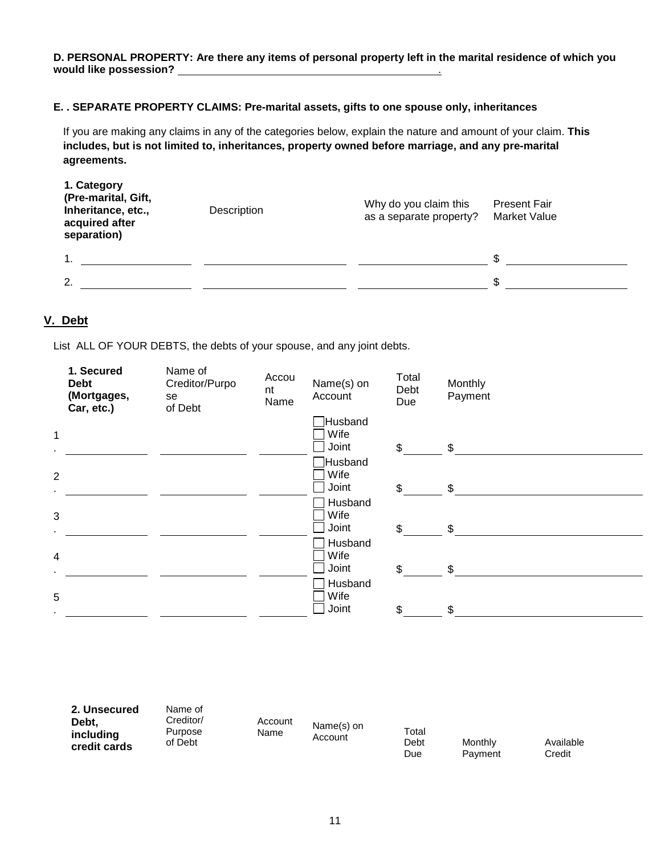**D. PERSONAL PROPERTY: Are there any items of personal property left in the marital residence of which you would like possession?** .

#### **E. . SEPARATE PROPERTY CLAIMS: Pre-marital assets, gifts to one spouse only, inheritances**

If you are making any claims in any of the categories below, explain the nature and amount of your claim. **This includes, but is not limited to, inheritances, property owned before marriage, and any pre-marital agreements.**

| 1. Category<br>(Pre-marital, Gift,<br>Inheritance, etc.,<br>acquired after<br>separation) | Description | Why do you claim this<br>as a separate property? | <b>Present Fair</b><br>Market Value |
|-------------------------------------------------------------------------------------------|-------------|--------------------------------------------------|-------------------------------------|
|                                                                                           |             |                                                  |                                     |
| $\mathbf{2}$                                                                              |             |                                                  |                                     |

### **V. Debt**

List ALL OF YOUR DEBTS, the debts of your spouse, and any joint debts.

| 1. Secured<br><b>Debt</b><br>(Mortgages,<br>Car, etc.) | Name of<br>Creditor/Purpo<br>se<br>of Debt | Accou<br>nt<br>Name | Name(s) on<br>Account    | Total<br>Debt<br>Due | Monthly<br>Payment |  |
|--------------------------------------------------------|--------------------------------------------|---------------------|--------------------------|----------------------|--------------------|--|
| $\mathbf{1}$                                           |                                            |                     | Husband<br>Wife<br>Joint | $\mathfrak{S}$       | \$                 |  |
| $\overline{2}$                                         |                                            |                     | Husband<br>Wife<br>Joint | $\mathfrak{S}$       | \$                 |  |
| 3                                                      |                                            |                     | Husband<br>Wife<br>Joint | $\mathfrak{S}$       | \$                 |  |
| 4                                                      |                                            |                     | Husband<br>Wife<br>Joint | $\mathfrak{L}$       | \$                 |  |
| 5<br>$\sim$                                            |                                            |                     | Husband<br>Wife<br>Joint | \$                   | \$                 |  |

| 2. Unsecured<br>Debt,<br>including<br>credit cards | Name of<br>Creditor/<br>Purpose<br>of Debt | Account<br>Name | Name(s) on<br>Account | Total<br>Debt<br>Due | Monthly<br>Payment | Available<br>Credit |
|----------------------------------------------------|--------------------------------------------|-----------------|-----------------------|----------------------|--------------------|---------------------|
|----------------------------------------------------|--------------------------------------------|-----------------|-----------------------|----------------------|--------------------|---------------------|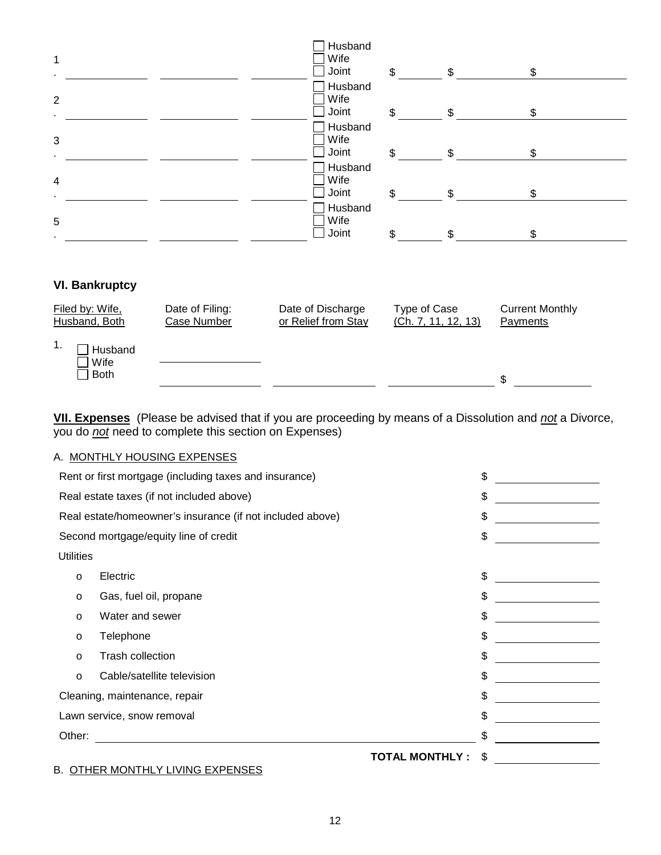| 1                                    |                                | Husband<br>Wife<br>Joint                 | $\mathbb{S}$ | \$                                  | \$                                 |  |
|--------------------------------------|--------------------------------|------------------------------------------|--------------|-------------------------------------|------------------------------------|--|
| $\overline{2}$                       |                                | Husband<br>Wife<br>Joint                 | \$           | $\mathbb{S}$                        | \$                                 |  |
| $\mathbf{3}$                         |                                | Husband<br>Wife<br>Joint                 | \$           | \$                                  | \$                                 |  |
| $\overline{4}$                       |                                | Husband<br>Wife<br>Joint                 | \$           | $\mathfrak{L}$                      | \$                                 |  |
| 5                                    |                                | Husband<br>Wife<br>Joint                 | \$           | \$                                  | \$                                 |  |
| <b>VI. Bankruptcy</b>                |                                |                                          |              |                                     |                                    |  |
| Filed by: Wife,<br>Husband, Both     | Date of Filing:<br>Case Number | Date of Discharge<br>or Relief from Stay |              | Type of Case<br>(Ch. 7, 11, 12, 13) | <b>Current Monthly</b><br>Payments |  |
| 1.<br>Husband<br>Wife<br><b>Both</b> |                                |                                          |              |                                     | ¢                                  |  |

**VII. Expenses** (Please be advised that if you are proceeding by means of a Dissolution and *not* a Divorce, you do *not* need to complete this section on Expenses)

 $\mathfrak s$ 

#### A. MONTHLY HOUSING EXPENSES

|                                           | Rent or first mortgage (including taxes and insurance)    | \$ |
|-------------------------------------------|-----------------------------------------------------------|----|
| Real estate taxes (if not included above) |                                                           | \$ |
|                                           | Real estate/homeowner's insurance (if not included above) | \$ |
|                                           | Second mortgage/equity line of credit                     | \$ |
| <b>Utilities</b>                          |                                                           |    |
| $\circ$                                   | Electric                                                  | \$ |
| $\circ$                                   | Gas, fuel oil, propane                                    | \$ |
| $\circ$                                   | Water and sewer                                           | \$ |
| $\circ$                                   | Telephone                                                 | \$ |
| $\circ$                                   | <b>Trash collection</b>                                   | \$ |
| $\circ$                                   | Cable/satellite television                                | \$ |
|                                           | Cleaning, maintenance, repair                             | \$ |
|                                           | Lawn service, snow removal                                | \$ |
| Other:                                    |                                                           |    |
|                                           | <b>TOTAL MONTHLY:</b>                                     | \$ |
|                                           | <b>B. OTHER MONTHLY LIVING EXPENSES</b>                   |    |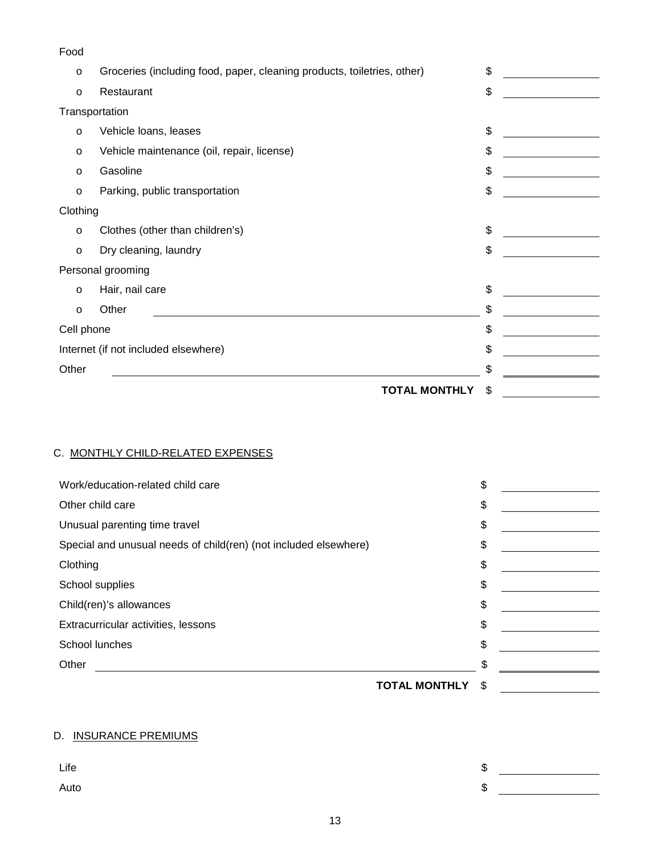| Food                                 |                                                                         |     |  |
|--------------------------------------|-------------------------------------------------------------------------|-----|--|
| $\circ$                              | Groceries (including food, paper, cleaning products, toiletries, other) | \$  |  |
| $\circ$                              | Restaurant                                                              | \$  |  |
|                                      | Transportation                                                          |     |  |
| $\circ$                              | Vehicle loans, leases                                                   | \$  |  |
| $\circ$                              | Vehicle maintenance (oil, repair, license)                              | \$  |  |
| $\circ$                              | Gasoline                                                                | \$  |  |
| $\circ$                              | Parking, public transportation                                          | \$  |  |
| Clothing                             |                                                                         |     |  |
| O                                    | Clothes (other than children's)                                         | \$  |  |
| $\circ$                              | Dry cleaning, laundry                                                   | \$  |  |
|                                      | Personal grooming                                                       |     |  |
| $\circ$                              | Hair, nail care                                                         | \$  |  |
| $\circ$                              | Other                                                                   | \$  |  |
| Cell phone                           |                                                                         | \$  |  |
| Internet (if not included elsewhere) |                                                                         | \$  |  |
| Other                                |                                                                         | \$. |  |
|                                      | <b>TOTAL MONTHLY</b>                                                    | \$  |  |

# C. MONTHLY CHILD-RELATED EXPENSES

| Work/education-related child care                                | \$ |  |
|------------------------------------------------------------------|----|--|
| Other child care                                                 | \$ |  |
| Unusual parenting time travel                                    | \$ |  |
| Special and unusual needs of child(ren) (not included elsewhere) | \$ |  |
| Clothing                                                         | \$ |  |
| School supplies                                                  | \$ |  |
| Child(ren)'s allowances                                          | \$ |  |
| Extracurricular activities, lessons                              | \$ |  |
| School lunches                                                   | \$ |  |
| Other                                                            | \$ |  |
| <b>TOTAL MONTHLY</b>                                             | S  |  |

## D. INSURANCE PREMIUMS

| Life | ѡ |  |
|------|---|--|
| Auto | ง |  |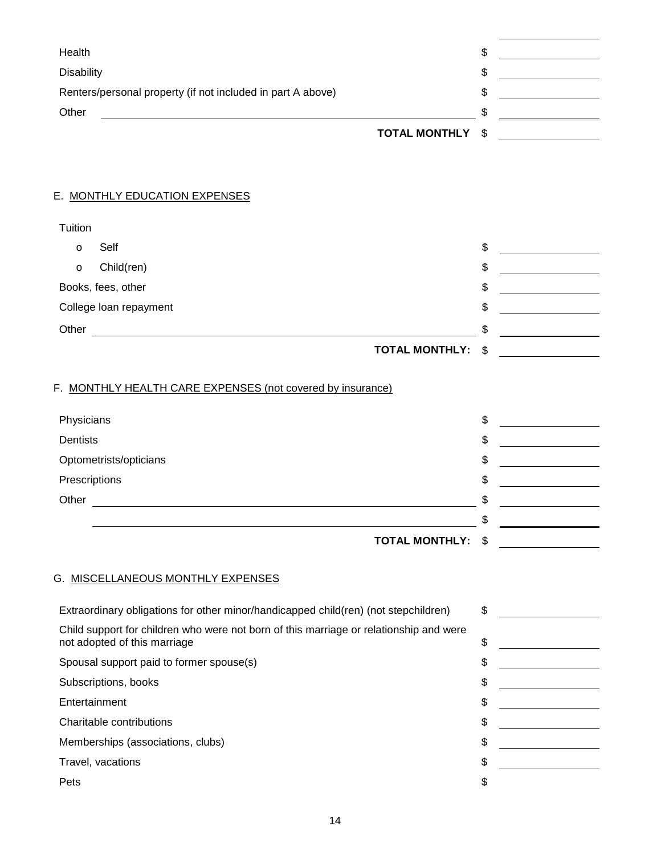| Health                                                                                                                                                                                                                         | \$                                                               |
|--------------------------------------------------------------------------------------------------------------------------------------------------------------------------------------------------------------------------------|------------------------------------------------------------------|
| <b>Disability</b>                                                                                                                                                                                                              | \$                                                               |
| Renters/personal property (if not included in part A above)                                                                                                                                                                    | \$<br><b>Contract Contract Contract</b>                          |
| Other<br><u> 1989 - Johann Stoff, amerikansk politiker (* 1908)</u>                                                                                                                                                            | \$                                                               |
| <b>TOTAL MONTHLY</b>                                                                                                                                                                                                           | \$<br><u>and the community of the community of the community</u> |
|                                                                                                                                                                                                                                |                                                                  |
| E. MONTHLY EDUCATION EXPENSES                                                                                                                                                                                                  |                                                                  |
| Tuition                                                                                                                                                                                                                        |                                                                  |
| Self<br>$\circ$                                                                                                                                                                                                                | \$                                                               |
| Child(ren)<br>$\circ$                                                                                                                                                                                                          | \$                                                               |
| Books, fees, other                                                                                                                                                                                                             | \$<br><u> 1990 - Johann Barbara, martin a</u>                    |
| College loan repayment                                                                                                                                                                                                         | \$                                                               |
| Other contracts to the contract of the contract of the contract of the contract of the contract of the contract of the contract of the contract of the contract of the contract of the contract of the contract of the contrac | \$                                                               |
| <b>TOTAL MONTHLY:</b>                                                                                                                                                                                                          | \$                                                               |
|                                                                                                                                                                                                                                |                                                                  |
| F. MONTHLY HEALTH CARE EXPENSES (not covered by insurance)<br>Physicians                                                                                                                                                       | \$                                                               |
| Dentists                                                                                                                                                                                                                       | \$                                                               |
| Optometrists/opticians                                                                                                                                                                                                         | \$                                                               |
| Prescriptions                                                                                                                                                                                                                  | \$                                                               |
| Other                                                                                                                                                                                                                          | \$                                                               |
| <u> 1980 - Johann John Stein, fransk politik (f. 1980)</u>                                                                                                                                                                     | \$                                                               |
| <b>TOTAL MONTHLY:</b>                                                                                                                                                                                                          | \$                                                               |
|                                                                                                                                                                                                                                |                                                                  |
| G. MISCELLANEOUS MONTHLY EXPENSES                                                                                                                                                                                              |                                                                  |
| Extraordinary obligations for other minor/handicapped child(ren) (not stepchildren)                                                                                                                                            | \$                                                               |
| Child support for children who were not born of this marriage or relationship and were<br>not adopted of this marriage                                                                                                         | \$                                                               |
| Spousal support paid to former spouse(s)                                                                                                                                                                                       | \$<br><u> 1990 - John Barn Barns</u>                             |
| Subscriptions, books                                                                                                                                                                                                           | \$                                                               |
| Entertainment                                                                                                                                                                                                                  | \$                                                               |
| Charitable contributions                                                                                                                                                                                                       |                                                                  |
|                                                                                                                                                                                                                                | \$                                                               |
| Memberships (associations, clubs)                                                                                                                                                                                              | \$<br><u> 1989 - Jan Barbara III, martx</u>                      |
| Travel, vacations                                                                                                                                                                                                              | \$                                                               |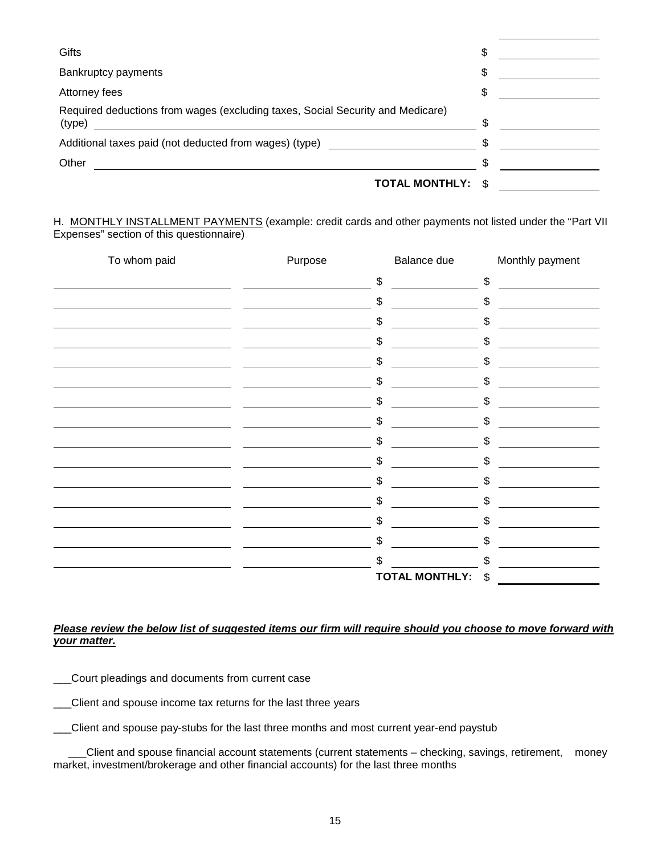| Gifts                                                                                    | \$   |  |
|------------------------------------------------------------------------------------------|------|--|
| <b>Bankruptcy payments</b>                                                               | \$   |  |
| Attorney fees                                                                            | \$   |  |
| Required deductions from wages (excluding taxes, Social Security and Medicare)<br>(type) |      |  |
| Additional taxes paid (not deducted from wages) (type)                                   |      |  |
| Other                                                                                    |      |  |
| <b>TOTAL MONTHLY:</b>                                                                    | - \$ |  |

H. MONTHLY INSTALLMENT PAYMENTS (example: credit cards and other payments not listed under the "Part VII Expenses" section of this questionnaire)

| To whom paid | Purpose | Balance due           |     | Monthly payment |
|--------------|---------|-----------------------|-----|-----------------|
|              |         | \$                    | \$  |                 |
|              |         | \$                    | \$  |                 |
|              |         | \$                    | \$  |                 |
|              |         | \$                    | \$  |                 |
|              |         | \$                    | \$  |                 |
|              |         | \$                    | \$  |                 |
|              |         | \$                    | \$  |                 |
|              |         | \$                    | \$  |                 |
|              |         | \$                    | \$  |                 |
|              |         | \$                    | \$  |                 |
|              |         | \$                    | \$  |                 |
|              |         | \$                    |     |                 |
|              |         |                       | \$  |                 |
|              |         | \$                    | \$  |                 |
|              |         | \$                    | \$  |                 |
|              |         | \$                    | \$. |                 |
|              |         | <b>TOTAL MONTHLY:</b> | \$  |                 |

#### *Please review the below list of suggested items our firm will require should you choose to move forward with your matter.*

Court pleadings and documents from current case

\_\_\_Client and spouse income tax returns for the last three years

\_\_\_Client and spouse pay-stubs for the last three months and most current year-end paystub

 \_\_\_Client and spouse financial account statements (current statements – checking, savings, retirement, money market, investment/brokerage and other financial accounts) for the last three months